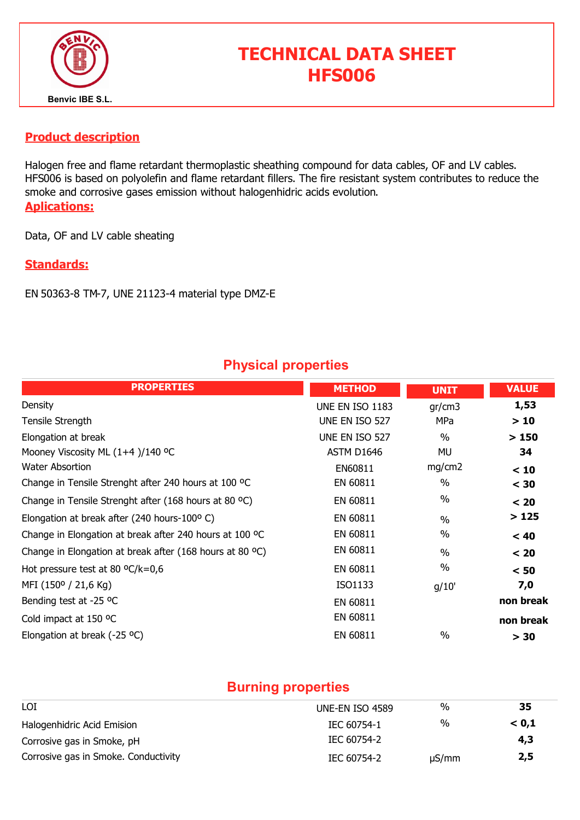

# TECHNICAL DATA SHEET HFS006

#### Product description

Halogen free and flame retardant thermoplastic sheathing compound for data cables, OF and LV cables. HFS006 is based on polyolefin and flame retardant fillers. The fire resistant system contributes to reduce the smoke and corrosive gases emission without halogenhidric acids evolution. Aplications:

Data, OF and LV cable sheating

#### Standards:

EN 50363-8 TM-7, UNE 21123-4 material type DMZ-E

### Physical properties

| <b>PROPERTIES</b>                                        | <b>METHOD</b>   | <b>UNIT</b>   | <b>VALUE</b> |
|----------------------------------------------------------|-----------------|---------------|--------------|
| Density                                                  | UNE EN ISO 1183 | gr/cm3        | 1,53         |
| Tensile Strength                                         | UNE EN ISO 527  | MPa           | >10          |
| Elongation at break                                      | UNE EN ISO 527  | $\%$          | >150         |
| Mooney Viscosity ML (1+4)/140 °C                         | ASTM D1646      | MU            | 34           |
| <b>Water Absortion</b>                                   | EN60811         | mg/cm2        | < 10         |
| Change in Tensile Strenght after 240 hours at 100 °C     | EN 60811        | $\%$          | $<$ 30       |
| Change in Tensile Strenght after (168 hours at 80 °C)    | EN 60811        | $\%$          | < 20         |
| Elongation at break after (240 hours-100°C)              | EN 60811        | $\frac{0}{0}$ | >125         |
| Change in Elongation at break after 240 hours at 100 °C  | EN 60811        | $\frac{0}{0}$ | < 40         |
| Change in Elongation at break after (168 hours at 80 °C) | EN 60811        | $\frac{0}{0}$ | < 20         |
| Hot pressure test at 80 $^{\circ}$ C/k=0,6               | EN 60811        | %             | < 50         |
| MFI (150° / 21,6 Kg)                                     | ISO1133         | g/10'         | 7,0          |
| Bending test at -25 °C                                   | EN 60811        |               | non break    |
| Cold impact at 150 °C                                    | EN 60811        |               | non break    |
| Elongation at break (-25 $^{\circ}$ C)                   | EN 60811        | $\frac{0}{0}$ | > 30         |

#### Burning properties

| LOI                                  | UNE-EN ISO 4589 | %          | 35    |  |
|--------------------------------------|-----------------|------------|-------|--|
| Halogenhidric Acid Emision           | IEC 60754-1     | %          | < 0.1 |  |
| Corrosive gas in Smoke, pH           | IEC 60754-2     |            | 4,3   |  |
| Corrosive gas in Smoke. Conductivity | IEC 60754-2     | $\mu S/mm$ | 2,5   |  |